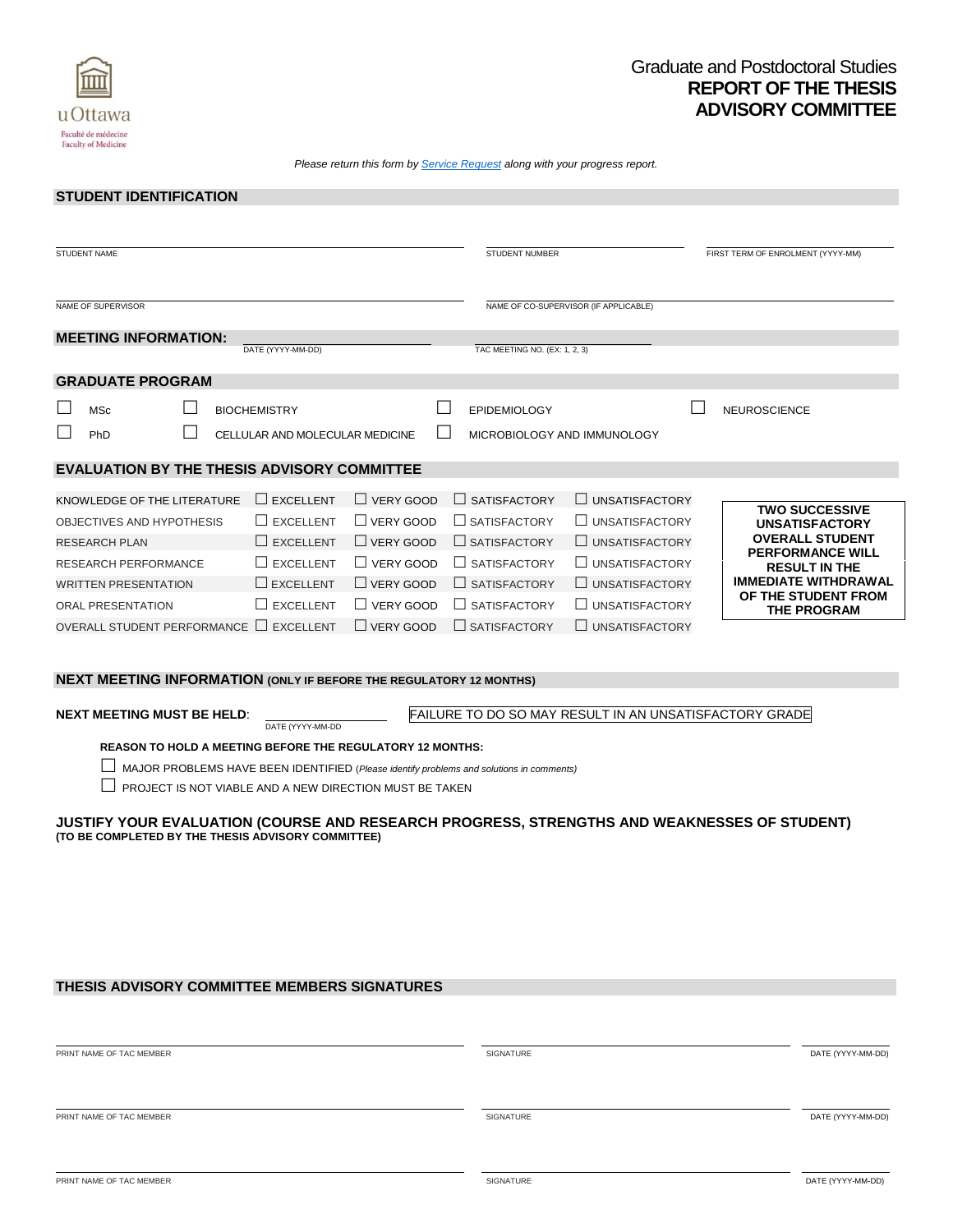

## Graduate and Postdoctoral Studies **REPORT OF THE THESIS ADVISORY COMMITTEE**

## *Please return this form by [Service Request](http://med.uottawa.ca/graduate-postdoctoral/sites/med.uottawa.ca.graduate-postdoctoral/files/service_request_guide_en-finalmay2017.pdf) along with your progress report.*

| <b>STUDENT IDENTIFICATION</b>                                                                                   |                  |                                       |                       |                                                    |  |
|-----------------------------------------------------------------------------------------------------------------|------------------|---------------------------------------|-----------------------|----------------------------------------------------|--|
|                                                                                                                 |                  |                                       |                       |                                                    |  |
| <b>STUDENT NAME</b>                                                                                             |                  | <b>STUDENT NUMBER</b>                 |                       | FIRST TERM OF ENROLMENT (YYYY-MM)                  |  |
|                                                                                                                 |                  |                                       |                       |                                                    |  |
| NAME OF SUPERVISOR                                                                                              |                  | NAME OF CO-SUPERVISOR (IF APPLICABLE) |                       |                                                    |  |
|                                                                                                                 |                  |                                       |                       |                                                    |  |
| <b>MEETING INFORMATION:</b><br>DATE (YYYY-MM-DD)                                                                |                  | TAC MEETING NO. (EX: 1, 2, 3)         |                       |                                                    |  |
| <b>GRADUATE PROGRAM</b>                                                                                         |                  |                                       |                       |                                                    |  |
|                                                                                                                 |                  |                                       |                       |                                                    |  |
| <b>MSc</b><br><b>BIOCHEMISTRY</b>                                                                               |                  | <b>EPIDEMIOLOGY</b>                   |                       | <b>NEUROSCIENCE</b>                                |  |
| PhD<br>CELLULAR AND MOLECULAR MEDICINE                                                                          |                  | MICROBIOLOGY AND IMMUNOLOGY           |                       |                                                    |  |
| <b>EVALUATION BY THE THESIS ADVISORY COMMITTEE</b>                                                              |                  |                                       |                       |                                                    |  |
|                                                                                                                 |                  |                                       |                       |                                                    |  |
| $\Box$ EXCELLENT<br>KNOWLEDGE OF THE LITERATURE                                                                 | $\Box$ VERY GOOD | SATISFACTORY                          | U UNSATISFACTORY      | <b>TWO SUCCESSIVE</b>                              |  |
| $\Box$ EXCELLENT<br>OBJECTIVES AND HYPOTHESIS                                                                   | $\Box$ VERY GOOD | $\Box$ SATISFACTORY                   | $\Box$ UNSATISFACTORY | <b>UNSATISFACTORY</b>                              |  |
| $\Box$ EXCELLENT<br><b>RESEARCH PLAN</b>                                                                        | $\Box$ VERY GOOD | $\Box$ SATISFACTORY                   | $\Box$ UNSATISFACTORY | <b>OVERALL STUDENT</b><br><b>PERFORMANCE WILL</b>  |  |
| $\Box$ EXCELLENT<br><b>RESEARCH PERFORMANCE</b>                                                                 | $\Box$ VERY GOOD | SATISFACTORY                          | UNSATISFACTORY        | <b>RESULT IN THE</b>                               |  |
| $\square$ EXCELLENT<br><b>WRITTEN PRESENTATION</b>                                                              | $\Box$ VERY GOOD | SATISFACTORY                          | UNSATISFACTORY        | <b>IMMEDIATE WITHDRAWAL</b><br>OF THE STUDENT FROM |  |
| $\Box$ EXCELLENT<br><b>ORAL PRESENTATION</b>                                                                    | $\Box$ VERY GOOD | $\Box$ SATISFACTORY                   | $\Box$ UNSATISFACTORY | <b>THE PROGRAM</b>                                 |  |
| OVERALL STUDENT PERFORMANCE EXCELLENT                                                                           | VERY GOOD        | $\Box$ SATISFACTORY                   | $\Box$ UNSATISFACTORY |                                                    |  |
|                                                                                                                 |                  |                                       |                       |                                                    |  |
| <b>NEXT MEETING INFORMATION (ONLY IF BEFORE THE REGULATORY 12 MONTHS)</b>                                       |                  |                                       |                       |                                                    |  |
|                                                                                                                 |                  |                                       |                       |                                                    |  |
| FAILURE TO DO SO MAY RESULT IN AN UNSATISFACTORY GRADE<br><b>NEXT MEETING MUST BE HELD:</b><br>DATE (YYYY-MM-DD |                  |                                       |                       |                                                    |  |
| REASON TO HOLD A MEETING BEFORE THE REGULATORY 12 MONTHS:                                                       |                  |                                       |                       |                                                    |  |
| MAJOR PROBLEMS HAVE BEEN IDENTIFIED (Please identify problems and solutions in comments)                        |                  |                                       |                       |                                                    |  |
| PROJECT IS NOT VIABLE AND A NEW DIRECTION MUST BE TAKEN                                                         |                  |                                       |                       |                                                    |  |
|                                                                                                                 |                  |                                       |                       |                                                    |  |
| JUSTIFY YOUR EVALUATION (COURSE AND RESEARCH PROGRESS, STRENGTHS AND WEAKNESSES OF STUDENT)                     |                  |                                       |                       |                                                    |  |
| (TO BE COMPLETED BY THE THESIS ADVISORY COMMITTEE)                                                              |                  |                                       |                       |                                                    |  |
|                                                                                                                 |                  |                                       |                       |                                                    |  |
|                                                                                                                 |                  |                                       |                       |                                                    |  |
|                                                                                                                 |                  |                                       |                       |                                                    |  |

## **THESIS ADVISORY COMMITTEE MEMBERS SIGNATURES**

| PRINT NAME OF TAC MEMBER | SIGNATURE | DATE (YYYY-MM-DD) |
|--------------------------|-----------|-------------------|
|                          |           |                   |
|                          |           |                   |
| PRINT NAME OF TAC MEMBER | SIGNATURE | DATE (YYYY-MM-DD) |
|                          |           |                   |
|                          |           |                   |
|                          |           |                   |
| PRINT NAME OF TAC MEMBER | SIGNATURE | DATE (YYYY-MM-DD) |